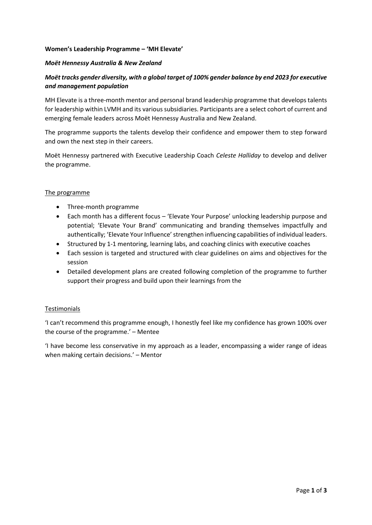### **Women's Leadership Programme – 'MH Elevate'**

## *Moët Hennessy Australia & New Zealand*

# *Moët tracks gender diversity, with a global target of 100% gender balance by end 2023 for executive and management population*

MH Elevate is a three-month mentor and personal brand leadership programme that develops talents for leadership within LVMH and its various subsidiaries. Participants are a select cohort of current and emerging female leaders across Moët Hennessy Australia and New Zealand.

The programme supports the talents develop their confidence and empower them to step forward and own the next step in their careers.

Moët Hennessy partnered with Executive Leadership Coach *Celeste Halliday* to develop and deliver the programme.

### The programme

- Three-month programme
- Each month has a different focus 'Elevate Your Purpose' unlocking leadership purpose and potential; 'Elevate Your Brand' communicating and branding themselves impactfully and authentically; 'Elevate Your Influence' strengthen influencing capabilities of individual leaders.
- Structured by 1-1 mentoring, learning labs, and coaching clinics with executive coaches
- Each session is targeted and structured with clear guidelines on aims and objectives for the session
- Detailed development plans are created following completion of the programme to further support their progress and build upon their learnings from the

### Testimonials

'I can't recommend this programme enough, I honestly feel like my confidence has grown 100% over the course of the programme.' – Mentee

'I have become less conservative in my approach as a leader, encompassing a wider range of ideas when making certain decisions.' – Mentor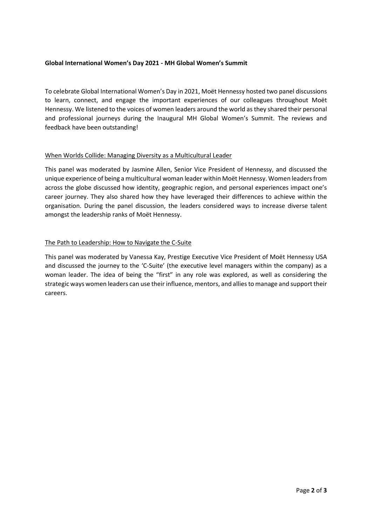# **Global International Women's Day 2021 - MH Global Women's Summit**

To celebrate Global International Women's Day in 2021, Moët Hennessy hosted two panel discussions to learn, connect, and engage the important experiences of our colleagues throughout Moët Hennessy. We listened to the voices of women leaders around the world as they shared their personal and professional journeys during the Inaugural MH Global Women's Summit. The reviews and feedback have been outstanding!

# When Worlds Collide: Managing Diversity as a Multicultural Leader

This panel was moderated by Jasmine Allen, Senior Vice President of Hennessy, and discussed the unique experience of being a multicultural woman leader within Moët Hennessy. Women leaders from across the globe discussed how identity, geographic region, and personal experiences impact one's career journey. They also shared how they have leveraged their differences to achieve within the organisation. During the panel discussion, the leaders considered ways to increase diverse talent amongst the leadership ranks of Moët Hennessy.

# The Path to Leadership: How to Navigate the C-Suite

This panel was moderated by Vanessa Kay, Prestige Executive Vice President of Moët Hennessy USA and discussed the journey to the 'C-Suite' (the executive level managers within the company) as a woman leader. The idea of being the "first" in any role was explored, as well as considering the strategic ways women leaders can use their influence, mentors, and allies to manage and support their careers.